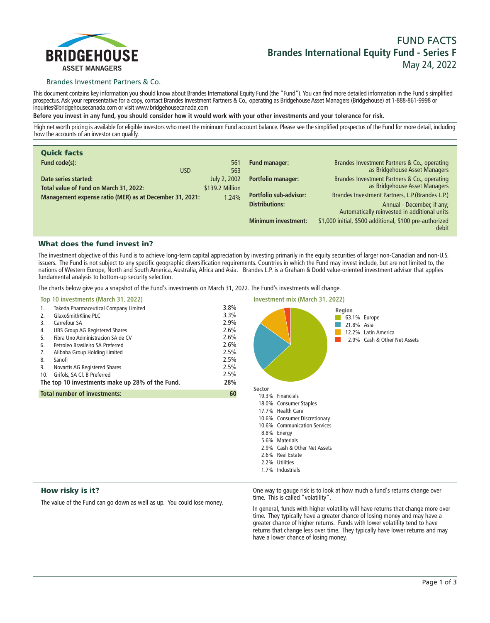

# **FUND FACTS Brandes International Equity Fund - Series F May 24, 2022**

## Brandes Investment Partners & Co.

**This document contains key information you should know about Brandes International Equity Fund (the "Fund"). You can find more detailed information in the Fund's simplified prospectus. Ask your representative for a copy, contact Brandes Investment Partners & Co., operating as Bridgehouse Asset Managers (Bridgehouse) at 1-888-861-9998 or inquiries@bridgehousecanada.com or visit www.bridgehousecanada.com**

**Before you invest in any fund, you should consider how it would work with your other investments and your tolerance for risk.**

**High net worth pricing is available for eligible investors who meet the minimum Fund account balance. Please see the simplified prospectus of the Fund for more detail, including how the accounts of an investor can qualify.**

| <b>Quick facts</b>                                             |                                 |                                                        |                                                                                                                                |
|----------------------------------------------------------------|---------------------------------|--------------------------------------------------------|--------------------------------------------------------------------------------------------------------------------------------|
| Fund code(s):<br><b>USD</b>                                    | 561<br>563                      | <b>Fund manager:</b>                                   | Brandes Investment Partners & Co., operating<br>as Bridgehouse Asset Managers                                                  |
| Date series started:<br>Total value of Fund on March 31, 2022: | July 2, 2002<br>\$139.2 Million | <b>Portfolio manager:</b>                              | Brandes Investment Partners & Co., operating<br>as Bridgehouse Asset Managers                                                  |
| Management expense ratio (MER) as at December 31, 2021:        | 1.24%                           | <b>Portfolio sub-advisor:</b><br><b>Distributions:</b> | Brandes Investment Partners, L.P. (Brandes L.P.)<br>Annual - December, if any;<br>Automatically reinvested in additional units |
|                                                                |                                 | <b>Minimum investment:</b>                             | \$1,000 initial, \$500 additional, \$100 pre-authorized<br>debit                                                               |

# What does the fund invest in?

**The investment objective of this Fund is to achieve long-term capital appreciation by investing primarily in the equity securities of larger non-Canadian and non-U.S. issuers. The Fund is not subject to any specific geographic diversification requirements. Countries in which the Fund may invest include, but are not limited to, the nations of Western Europe, North and South America, Australia, Africa and Asia. Brandes L.P. is a Graham & Dodd value-oriented investment advisor that applies fundamental analysis to bottom-up security selection.**

**The charts below give you a snapshot of the Fund's investments on March 31, 2022. The Fund's investments will change.**

| Top 10 investments (March 31, 2022)                                                                                                                                                                                                                                                                                                                                                                                       |                                                                                                                                                                                        | <b>Investment mix (March 31, 2022)</b>                                                      |
|---------------------------------------------------------------------------------------------------------------------------------------------------------------------------------------------------------------------------------------------------------------------------------------------------------------------------------------------------------------------------------------------------------------------------|----------------------------------------------------------------------------------------------------------------------------------------------------------------------------------------|---------------------------------------------------------------------------------------------|
| Takeda Pharmaceutical Company Limited<br>1.<br>GlaxoSmithKline PLC<br>2.<br>Carrefour SA<br>3.<br><b>UBS Group AG Registered Shares</b><br>4.<br>Fibra Uno Administracion SA de CV<br>5.<br>Petroleo Brasileiro SA Preferred<br>6.<br>Alibaba Group Holding Limited<br>7.<br>8.<br>Sanofi<br>Novartis AG Registered Shares<br>9.<br>Grifols, SA Cl. B Preferred<br>10.<br>The top 10 investments make up 28% of the Fund. | 3.8%<br>3.3%<br>2.9%<br>2.6%<br>2.6%<br>2.6%<br>2.5%<br>2.5%<br>2.5%<br>2.5%<br>28%                                                                                                    | Region<br>63.1% Europe<br>21.8% Asia<br>12.2% Latin America<br>2.9% Cash & Other Net Assets |
| <b>Total number of investments:</b>                                                                                                                                                                                                                                                                                                                                                                                       | Sector<br>60<br>19.3% Financials<br>18.0% Consumer Staples<br>17.7% Health Care<br>10.6% Consumer Discretionary<br>8.8% Energy<br>5.6% Materials<br>2.6% Real Estate<br>2.2% Utilities | 10.6% Communication Services<br>2.9% Cash & Other Net Assets                                |
|                                                                                                                                                                                                                                                                                                                                                                                                                           |                                                                                                                                                                                        | 1.7% Industrials                                                                            |

# How risky is it?

**The value of the Fund can go down as well as up. You could lose money.**

**One way to gauge risk is to look at how much a fund's returns change over time. This is called "volatility".**

**In general, funds with higher volatility will have returns that change more over time. They typically have a greater chance of losing money and may have a greater chance of higher returns. Funds with lower volatility tend to have**  returns that change less over time. They typically have lower returns and may **have a lower chance of losing money.**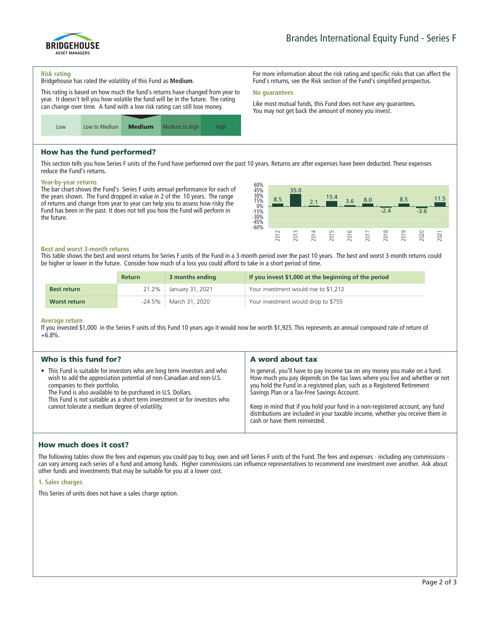

**For more information about the risk rating and specific risks that can affect the Fund's returns, see the Risk section of the Fund's simplified prospectus.**

**Like most mutual funds, this Fund does not have any guarantees. You may not get back the amount of money you invest.**

#### **Risk rating**

**Bridgehouse has rated the volatility of this Fund as Medium.**

**This rating is based on how much the fund's returns have changed from year to year. It doesn't tell you how volatile the fund will be in the future. The rating can change over time. A fund with a low risk rating can still lose money.**



# How has the fund performed?

**This section tells you how Series F units of the Fund have performed over the past 10 years. Returns are after expenses have been deducted. These expenses reduce the Fund's returns.**

**No guarantees**

#### **Year-by-year returns**

**The bar chart shows the Fund's Series F units annual performance for each of the years shown. The Fund dropped in value in 2 of the 10 years. The range of returns and change from year to year can help you to assess how risky the Fund has been in the past. It does not tell you how the Fund will perform in the future.**



#### **Best and worst 3-month returns**

**This table shows the best and worst returns for Series F units of the Fund in a 3-month period over the past 10 years. The best and worst 3-month returns could be higher or lower in the future. Consider how much of a loss you could afford to take in a short period of time.**

|                     | <b>Return</b> | 3 months ending          | If you invest \$1,000 at the beginning of the period |
|---------------------|---------------|--------------------------|------------------------------------------------------|
| <b>Best return</b>  |               | 21.2%   January 31, 2021 | Your investment would rise to \$1,212                |
| <b>Worst return</b> | -24.5% i      | March 31, 2020           | Your investment would drop to \$755                  |

#### **Average return**

**If you invested \$1,000 in the Series F units of this Fund 10 years ago it would now be worth \$1,925. This represents an annual compound rate of return of +6.8%.**

| Who is this fund for?<br>A word about tax                                                                                                                                                                                                                                                                                                                                                                                                                                                                                                                                                                                                                                                                                                                                                                                                                                 |  |
|---------------------------------------------------------------------------------------------------------------------------------------------------------------------------------------------------------------------------------------------------------------------------------------------------------------------------------------------------------------------------------------------------------------------------------------------------------------------------------------------------------------------------------------------------------------------------------------------------------------------------------------------------------------------------------------------------------------------------------------------------------------------------------------------------------------------------------------------------------------------------|--|
| • This Fund is suitable for investors who are long term investors and who<br>In general, you'll have to pay income tax on any money you make on a fund.<br>How much you pay depends on the tax laws where you live and whether or not<br>wish to add the appreciation potential of non-Canadian and non-U.S.<br>you hold the Fund in a registered plan, such as a Registered Retirement<br>companies to their portfolio.<br>Savings Plan or a Tax-Free Savings Account.<br>The Fund is also available to be purchased in U.S. Dollars.<br>This Fund is not suitable as a short term investment or for investors who<br>Keep in mind that if you hold your fund in a non-registered account, any fund<br>cannot tolerate a medium degree of volatility.<br>distributions are included in your taxable income, whether you receive them in<br>cash or have them reinvested. |  |

# How much does it cost?

**The following tables show the fees and expenses you could pay to buy, own and sell Series F units of the Fund. The fees and expenses - including any commissions can vary among each series of a fund and among funds. Higher commissions can influence representatives to recommend one investment over another. Ask about other funds and investments that may be suitable for you at a lower cost.**

#### **1. Sales charges**

**This Series of units does not have a sales charge option.**